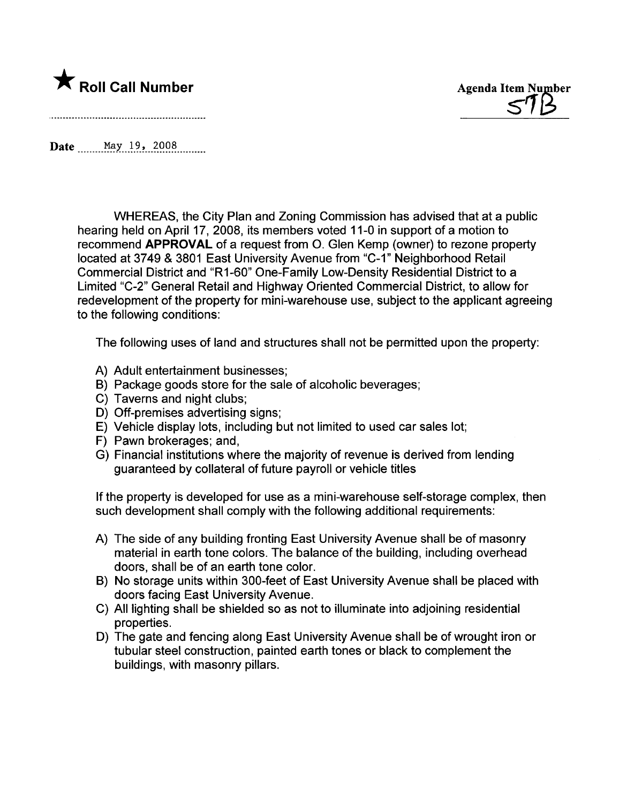

**Date** May 19, 2008

WHEREAS, the City Plan and Zoning Commission has advised that at a public hearing held on April 17, 2008, its members voted 11-0 in support of a motion to recommend APPROVAL of a request from O. Glen Kemp (owner) to rezone property located at 3749 & 3801 East University Avenue from "C-1" Neighborhood Retail Commercial District and "R1-60" One-Family Low-Density Residential District to a Limited "C-2" General Retail and Highway Oriented Commercial District, to allow for redevelopment of the property for mini-warehouse use, subject to the applicant agreeing to the following conditions:

The following uses of land and structures shall not be permitted upon the property:

- A) Adult entertainment businesses;
- B) Package goods store for the sale of alcoholic beverages;
- C) Taverns and night clubs;
- D) Off-premises advertising signs;
- E) Vehicle display lots, including but not limited to used car sales lot;
- F) Pawn brokerages; and,
- G) Financial institutions where the majority of revenue is derived from lending guaranteed by collateral of future payroll or vehicle titles

If the property is developed for use as a mini-warehouse self-storage complex, then such development shall comply with the following additional requirements:

- A) The side of any building fronting East University Avenue shall be of masonry material in earth tone colors. The balance of the building, including overhead doors, shall be of an earth tone color.
- B) No storage units within 30Q-feet of East University Avenue shall be placed with doors facing East University Avenue.
- C) All lighting shall be shielded so as not to iluminate into adjoining residential properties.
- D) The gate and fencing along East University Avenue shall be of wrought iron or tubular steel construction, painted earth tones or black to complement the buildings, with masonry pillars.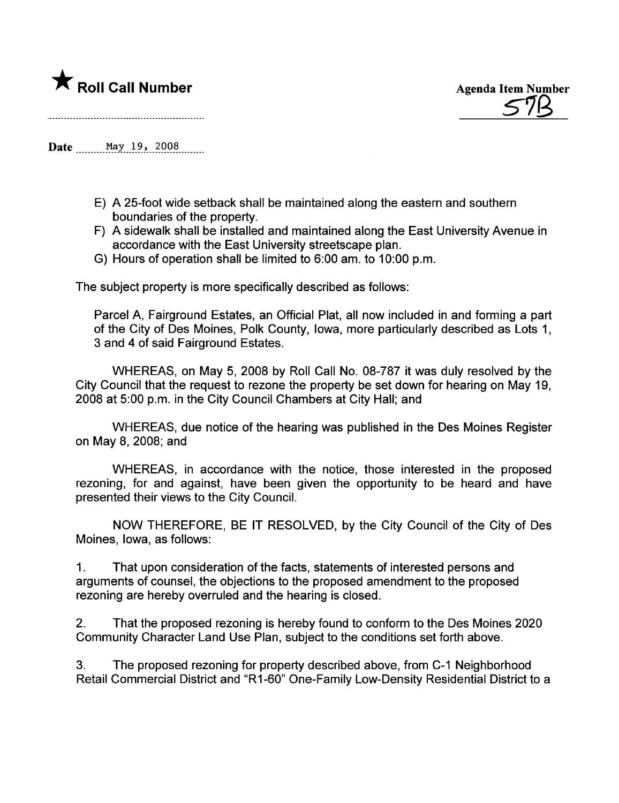

Date \_\_\_\_\_\_\_ May 19, 2008

- E) A 25-foot wide setback shall be maintained along the eastern and southern boundaries of the property.
- F) A sidewalk shall be installed and maintained along the East University Avenue in accordance with the East University streetscape plan.
- G) Hours of operation shall be limited to 6:00 am. to 10:00 p.m.

The subject property is more specifically described as follows:

Parcel A, Fairground Estates, an Official Plat, all now included in and forming a part of the City of Des Moines, Polk County, Iowa, more particularly described as Lots 1, 3 and 4 of said Fairground Estates.

WHEREAS, on May 5,2008 by Roll Call No. 08-787 it was duly resolved by the City Council that the request to rezone the property be set down for hearing on May 19, 2008 at 5:00 p.m. in the City Council Chambers at City Hall; and

WHEREAS, due notice of the hearing was published in the Des Moines Register on May 8, 2008; and

WHEREAS, in accordance with the notice, those interested in the proposed rezoning, for and against, have been given the opportunity to be heard and have presented their views to the City CounciL.

NOW THEREFORE, BE IT RESOLVED, by the City Council of the City of Des Moines, Iowa, as follows:

1. That upon consideration of the facts, statements of interested persons and arguments of counsel, the objections to the proposed amendment to the proposed rezoning are hereby overruled and the hearing is closed.

2. That the proposed rezoning is hereby found to conform to the Des Moines 2020 Community Character Land Use Plan, subject to the conditions set forth above.

3. The proposed rezoning for property described above, from C-1 Neighborhood Retail Commercial District and "R1-60" One-Family Low-Density Residential District to a